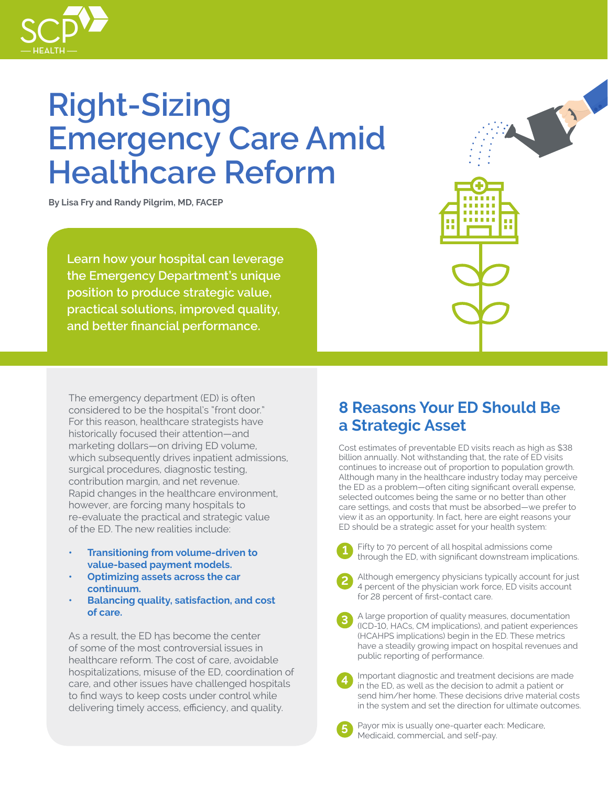

# **Right-Sizing Emergency Care Amid Healthcare Reform**

**By Lisa Fry and Randy Pilgrim, MD, FACEP**

**Learn how your hospital can leverage the Emergency Department's unique position to produce strategic value, practical solutions, improved quality, and better financial performance.**

The emergency department (ED) is often considered to be the hospital's "front door." For this reason, healthcare strategists have historically focused their attention—and marketing dollars—on driving ED volume, which subsequently drives inpatient admissions, surgical procedures, diagnostic testing, contribution margin, and net revenue. Rapid changes in the healthcare environment, however, are forcing many hospitals to re-evaluate the practical and strategic value of the ED. The new realities include:

- **• Transitioning from volume-driven to value-based payment models.**
- **●• Optimizing assets across the car continuum.**
- **• Balancing quality, satisfaction, and cost of care.**

As a result, the ED has become the center of some of the most controversial issues in healthcare reform. The cost of care, avoidable hospitalizations, misuse of the ED, coordination of care, and other issues have challenged hospitals to find ways to keep costs under control while delivering timely access, efficiency, and quality.

### **8 Reasons Your ED Should Be a Strategic Asset**

2

Cost estimates of preventable ED visits reach as high as \$38 billion annually. Not withstanding that, the rate of ED visits continues to increase out of proportion to population growth. Although many in the healthcare industry today may perceive the ED as a problem—often citing significant overall expense, selected outcomes being the same or no better than other care settings, and costs that must be absorbed—we prefer to view it as an opportunity. In fact, here are eight reasons your ED should be a strategic asset for your health system:



**2**

**4**

**5**

Fifty to 70 percent of all hospital admissions come through the ED, with significant downstream implications.



- . A large proportion of quality measures, documentation (ICD-10, HACs, CM implications), and patient experiences (HCAHPS implications) begin in the ED. These metrics have a steadily growing impact on hospital revenues and public reporting of performance. **3**
	- Important diagnostic and treatment decisions are made in the ED, as well as the decision to admit a patient or send him/her home. These decisions drive material costs in the system and set the direction for ultimate outcomes.

Payor mix is usually one-quarter each: Medicare, Medicaid, commercial, and self-pay.